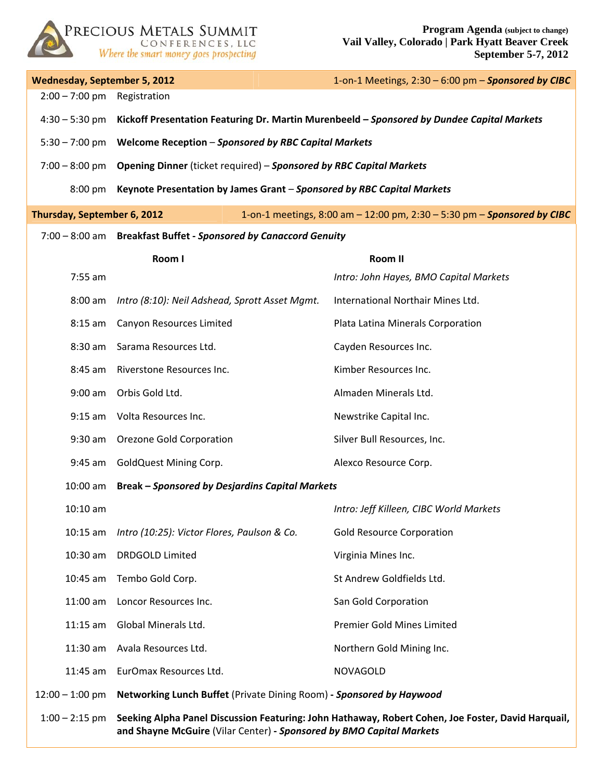

| <b>Wednesday, September 5, 2012</b>                                                                    |                                                                                                                                                                            | 1-on-1 Meetings, 2:30 - 6:00 pm - Sponsored by CIBC |  |
|--------------------------------------------------------------------------------------------------------|----------------------------------------------------------------------------------------------------------------------------------------------------------------------------|-----------------------------------------------------|--|
| $2:00 - 7:00$ pm                                                                                       | Registration                                                                                                                                                               |                                                     |  |
| $4:30 - 5:30$ pm                                                                                       | Kickoff Presentation Featuring Dr. Martin Murenbeeld - Sponsored by Dundee Capital Markets                                                                                 |                                                     |  |
|                                                                                                        | 5:30 - 7:00 pm     Welcome Reception - Sponsored by RBC Capital Markets                                                                                                    |                                                     |  |
|                                                                                                        | 7:00 - 8:00 pm Opening Dinner (ticket required) - Sponsored by RBC Capital Markets                                                                                         |                                                     |  |
|                                                                                                        | 8:00 pm Keynote Presentation by James Grant - Sponsored by RBC Capital Markets                                                                                             |                                                     |  |
| Thursday, September 6, 2012<br>1-on-1 meetings, 8:00 am - 12:00 pm, 2:30 - 5:30 pm - Sponsored by CIBC |                                                                                                                                                                            |                                                     |  |
| 7:00 - 8:00 am Breakfast Buffet - Sponsored by Canaccord Genuity                                       |                                                                                                                                                                            |                                                     |  |
|                                                                                                        | Room I                                                                                                                                                                     | Room II                                             |  |
| 7:55 am                                                                                                |                                                                                                                                                                            | Intro: John Hayes, BMO Capital Markets              |  |
| $8:00$ am                                                                                              | Intro (8:10): Neil Adshead, Sprott Asset Mgmt.                                                                                                                             | International Northair Mines Ltd.                   |  |
| $8:15$ am                                                                                              | Canyon Resources Limited                                                                                                                                                   | Plata Latina Minerals Corporation                   |  |
| 8:30 am                                                                                                | Sarama Resources Ltd.                                                                                                                                                      | Cayden Resources Inc.                               |  |
| 8:45 am                                                                                                | Riverstone Resources Inc.                                                                                                                                                  | Kimber Resources Inc.                               |  |
| $9:00$ am                                                                                              | Orbis Gold Ltd.                                                                                                                                                            | Almaden Minerals Ltd.                               |  |
| $9:15$ am                                                                                              | Volta Resources Inc.                                                                                                                                                       | Newstrike Capital Inc.                              |  |
|                                                                                                        | 9:30 am Orezone Gold Corporation                                                                                                                                           | Silver Bull Resources, Inc.                         |  |
| 9:45 am                                                                                                | <b>GoldQuest Mining Corp.</b>                                                                                                                                              | Alexco Resource Corp.                               |  |
| $10:00$ am                                                                                             | <b>Break - Sponsored by Desjardins Capital Markets</b>                                                                                                                     |                                                     |  |
| $10:10$ am                                                                                             |                                                                                                                                                                            | Intro: Jeff Killeen, CIBC World Markets             |  |
| $10:15$ am                                                                                             | Intro (10:25): Victor Flores, Paulson & Co.                                                                                                                                | <b>Gold Resource Corporation</b>                    |  |
| $10:30$ am                                                                                             | <b>DRDGOLD Limited</b>                                                                                                                                                     | Virginia Mines Inc.                                 |  |
| $10:45$ am                                                                                             | Tembo Gold Corp.                                                                                                                                                           | St Andrew Goldfields Ltd.                           |  |
| $11:00$ am                                                                                             | Loncor Resources Inc.                                                                                                                                                      | San Gold Corporation                                |  |
| $11:15$ am                                                                                             | Global Minerals Ltd.                                                                                                                                                       | <b>Premier Gold Mines Limited</b>                   |  |
| $11:30$ am                                                                                             | Avala Resources Ltd.                                                                                                                                                       | Northern Gold Mining Inc.                           |  |
| 11:45 am                                                                                               | EurOmax Resources Ltd.                                                                                                                                                     | <b>NOVAGOLD</b>                                     |  |
| $12:00 - 1:00$ pm                                                                                      | Networking Lunch Buffet (Private Dining Room) - Sponsored by Haywood                                                                                                       |                                                     |  |
| $1:00 - 2:15$ pm                                                                                       | Seeking Alpha Panel Discussion Featuring: John Hathaway, Robert Cohen, Joe Foster, David Harquail,<br>and Shayne McGuire (Vilar Center) - Sponsored by BMO Capital Markets |                                                     |  |